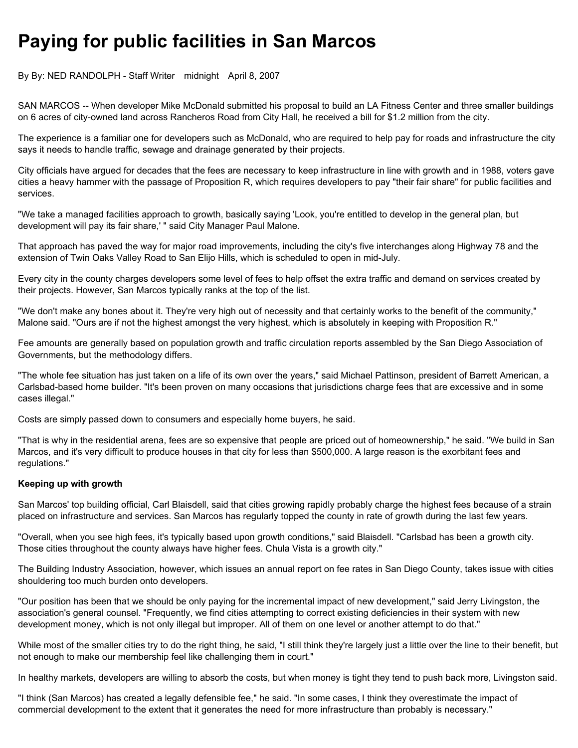## Paying for public facilities in San Marcos

By By: NED RANDOLPH - Staff Writer midnight April 8, 2007

SAN MARCOS -- When developer Mike McDonald submitted his proposal to build an LA Fitness Center and three smaller buildings on 6 acres of city-owned land across Rancheros Road from City Hall, he received a bill for \$1.2 million from the city.

The experience is a familiar one for developers such as McDonald, who are required to help pay for roads and infrastructure the city says it needs to handle traffic, sewage and drainage generated by their projects.

City officials have argued for decades that the fees are necessary to keep infrastructure in line with growth and in 1988, voters gave cities a heavy hammer with the passage of Proposition R, which requires developers to pay "their fair share" for public facilities and services.

"We take a managed facilities approach to growth, basically saying 'Look, you're entitled to develop in the general plan, but development will pay its fair share,' " said City Manager Paul Malone.

That approach has paved the way for major road improvements, including the city's five interchanges along Highway 78 and the extension of Twin Oaks Valley Road to San Elijo Hills, which is scheduled to open in mid-July.

Every city in the county charges developers some level of fees to help offset the extra traffic and demand on services created by their projects. However, San Marcos typically ranks at the top of the list.

"We don't make any bones about it. They're very high out of necessity and that certainly works to the benefit of the community," Malone said. "Ours are if not the highest amongst the very highest, which is absolutely in keeping with Proposition R."

Fee amounts are generally based on population growth and traffic circulation reports assembled by the San Diego Association of Governments, but the methodology differs.

"The whole fee situation has just taken on a life of its own over the years," said Michael Pattinson, president of Barrett American, a Carlsbad-based home builder. "It's been proven on many occasions that jurisdictions charge fees that are excessive and in some cases illegal."

Costs are simply passed down to consumers and especially home buyers, he said.

"That is why in the residential arena, fees are so expensive that people are priced out of homeownership," he said. "We build in San Marcos, and it's very difficult to produce houses in that city for less than \$500,000. A large reason is the exorbitant fees and regulations."

## Keeping up with growth

San Marcos' top building official, Carl Blaisdell, said that cities growing rapidly probably charge the highest fees because of a strain placed on infrastructure and services. San Marcos has regularly topped the county in rate of growth during the last few years.

"Overall, when you see high fees, it's typically based upon growth conditions," said Blaisdell. "Carlsbad has been a growth city. Those cities throughout the county always have higher fees. Chula Vista is a growth city."

The Building Industry Association, however, which issues an annual report on fee rates in San Diego County, takes issue with cities shouldering too much burden onto developers.

"Our position has been that we should be only paying for the incremental impact of new development," said Jerry Livingston, the association's general counsel. "Frequently, we find cities attempting to correct existing deficiencies in their system with new development money, which is not only illegal but improper. All of them on one level or another attempt to do that."

While most of the smaller cities try to do the right thing, he said, "I still think they're largely just a little over the line to their benefit, but not enough to make our membership feel like challenging them in court."

In healthy markets, developers are willing to absorb the costs, but when money is tight they tend to push back more, Livingston said.

"I think (San Marcos) has created a legally defensible fee," he said. "In some cases, I think they overestimate the impact of commercial development to the extent that it generates the need for more infrastructure than probably is necessary."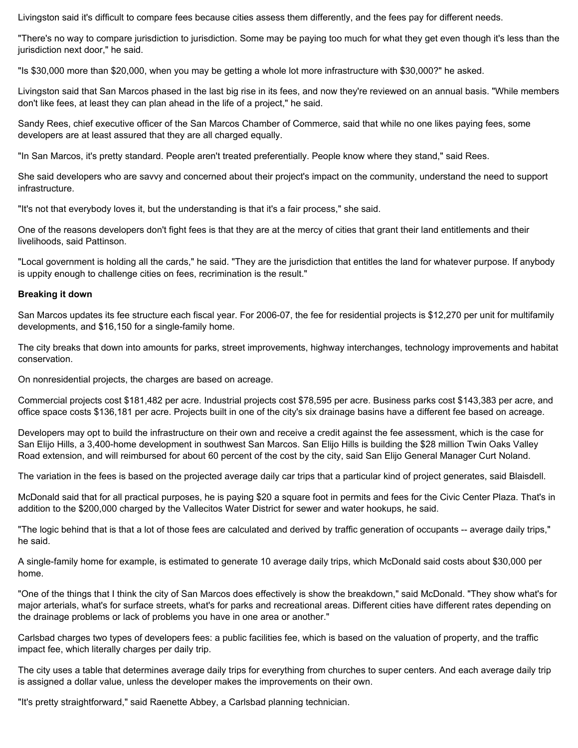Livingston said it's difficult to compare fees because cities assess them differently, and the fees pay for different needs.

"There's no way to compare jurisdiction to jurisdiction. Some may be paying too much for what they get even though it's less than the jurisdiction next door," he said.

"Is \$30,000 more than \$20,000, when you may be getting a whole lot more infrastructure with \$30,000?" he asked.

Livingston said that San Marcos phased in the last big rise in its fees, and now they're reviewed on an annual basis. "While members don't like fees, at least they can plan ahead in the life of a project," he said.

Sandy Rees, chief executive officer of the San Marcos Chamber of Commerce, said that while no one likes paying fees, some developers are at least assured that they are all charged equally.

"In San Marcos, it's pretty standard. People aren't treated preferentially. People know where they stand," said Rees.

She said developers who are savvy and concerned about their project's impact on the community, understand the need to support infrastructure.

"It's not that everybody loves it, but the understanding is that it's a fair process," she said.

One of the reasons developers don't fight fees is that they are at the mercy of cities that grant their land entitlements and their livelihoods, said Pattinson.

"Local government is holding all the cards," he said. "They are the jurisdiction that entitles the land for whatever purpose. If anybody is uppity enough to challenge cities on fees, recrimination is the result."

## Breaking it down

San Marcos updates its fee structure each fiscal year. For 2006-07, the fee for residential projects is \$12,270 per unit for multifamily developments, and \$16,150 for a single-family home.

The city breaks that down into amounts for parks, street improvements, highway interchanges, technology improvements and habitat conservation.

On nonresidential projects, the charges are based on acreage.

Commercial projects cost \$181,482 per acre. Industrial projects cost \$78,595 per acre. Business parks cost \$143,383 per acre, and office space costs \$136,181 per acre. Projects built in one of the city's six drainage basins have a different fee based on acreage.

Developers may opt to build the infrastructure on their own and receive a credit against the fee assessment, which is the case for San Elijo Hills, a 3,400-home development in southwest San Marcos. San Elijo Hills is building the \$28 million Twin Oaks Valley Road extension, and will reimbursed for about 60 percent of the cost by the city, said San Elijo General Manager Curt Noland.

The variation in the fees is based on the projected average daily car trips that a particular kind of project generates, said Blaisdell.

McDonald said that for all practical purposes, he is paying \$20 a square foot in permits and fees for the Civic Center Plaza. That's in addition to the \$200,000 charged by the Vallecitos Water District for sewer and water hookups, he said.

"The logic behind that is that a lot of those fees are calculated and derived by traffic generation of occupants -- average daily trips," he said.

A single-family home for example, is estimated to generate 10 average daily trips, which McDonald said costs about \$30,000 per home.

"One of the things that I think the city of San Marcos does effectively is show the breakdown," said McDonald. "They show what's for major arterials, what's for surface streets, what's for parks and recreational areas. Different cities have different rates depending on the drainage problems or lack of problems you have in one area or another."

Carlsbad charges two types of developers fees: a public facilities fee, which is based on the valuation of property, and the traffic impact fee, which literally charges per daily trip.

The city uses a table that determines average daily trips for everything from churches to super centers. And each average daily trip is assigned a dollar value, unless the developer makes the improvements on their own.

"It's pretty straightforward," said Raenette Abbey, a Carlsbad planning technician.